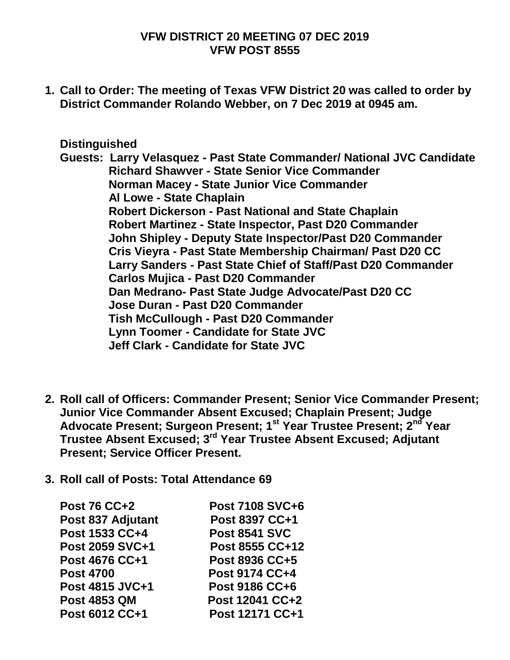#### **VFW DISTRICT 20 MEETING 07 DEC 2019 VFW POST 8555**

**1. Call to Order: The meeting of Texas VFW District 20 was called to order by District Commander Rolando Webber, on 7 Dec 2019 at 0945 am.**

#### **Distinguished**

**Guests: Larry Velasquez - Past State Commander/ National JVC Candidate Richard Shawver - State Senior Vice Commander Norman Macey - State Junior Vice Commander Al Lowe - State Chaplain Robert Dickerson - Past National and State Chaplain Robert Martinez - State Inspector, Past D20 Commander John Shipley - Deputy State Inspector/Past D20 Commander Cris Vieyra - Past State Membership Chairman/ Past D20 CC Larry Sanders - Past State Chief of Staff/Past D20 Commander Carlos Mujica - Past D20 Commander Dan Medrano- Past State Judge Advocate/Past D20 CC Jose Duran - Past D20 Commander Tish McCullough - Past D20 Commander Lynn Toomer - Candidate for State JVC Jeff Clark - Candidate for State JVC** 

- **2. Roll call of Officers: Commander Present; Senior Vice Commander Present; Junior Vice Commander Absent Excused; Chaplain Present; Judge Advocate Present; Surgeon Present; 1st Year Trustee Present; 2nd Year Trustee Absent Excused; 3rd Year Trustee Absent Excused; Adjutant Present; Service Officer Present.**
- **3. Roll call of Posts: Total Attendance 69**

| <b>Post 76 CC+2</b>   | <b>Post 7108 SVC+6</b> |
|-----------------------|------------------------|
| Post 837 Adjutant     | Post 8397 CC+1         |
| Post 1533 CC+4        | <b>Post 8541 SVC</b>   |
| Post 2059 SVC+1       | Post 8555 CC+12        |
| <b>Post 4676 CC+1</b> | Post 8936 CC+5         |
| <b>Post 4700</b>      | Post 9174 CC+4         |
| Post 4815 JVC+1       | <b>Post 9186 CC+6</b>  |
| <b>Post 4853 QM</b>   | Post 12041 CC+2        |
| Post 6012 CC+1        | Post 12171 CC+1        |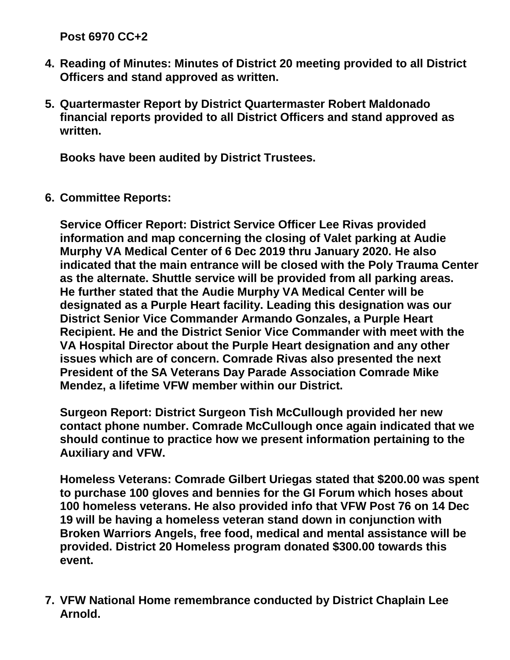**Post 6970 CC+2** 

- **4. Reading of Minutes: Minutes of District 20 meeting provided to all District Officers and stand approved as written.**
- **5. Quartermaster Report by District Quartermaster Robert Maldonado financial reports provided to all District Officers and stand approved as written.**

**Books have been audited by District Trustees.**

**6. Committee Reports:**

**Service Officer Report: District Service Officer Lee Rivas provided information and map concerning the closing of Valet parking at Audie Murphy VA Medical Center of 6 Dec 2019 thru January 2020. He also indicated that the main entrance will be closed with the Poly Trauma Center as the alternate. Shuttle service will be provided from all parking areas. He further stated that the Audie Murphy VA Medical Center will be designated as a Purple Heart facility. Leading this designation was our District Senior Vice Commander Armando Gonzales, a Purple Heart Recipient. He and the District Senior Vice Commander with meet with the VA Hospital Director about the Purple Heart designation and any other issues which are of concern. Comrade Rivas also presented the next President of the SA Veterans Day Parade Association Comrade Mike Mendez, a lifetime VFW member within our District.**

**Surgeon Report: District Surgeon Tish McCullough provided her new contact phone number. Comrade McCullough once again indicated that we should continue to practice how we present information pertaining to the Auxiliary and VFW.**

**Homeless Veterans: Comrade Gilbert Uriegas stated that \$200.00 was spent to purchase 100 gloves and bennies for the GI Forum which hoses about 100 homeless veterans. He also provided info that VFW Post 76 on 14 Dec 19 will be having a homeless veteran stand down in conjunction with Broken Warriors Angels, free food, medical and mental assistance will be provided. District 20 Homeless program donated \$300.00 towards this event.**

**7. VFW National Home remembrance conducted by District Chaplain Lee Arnold.**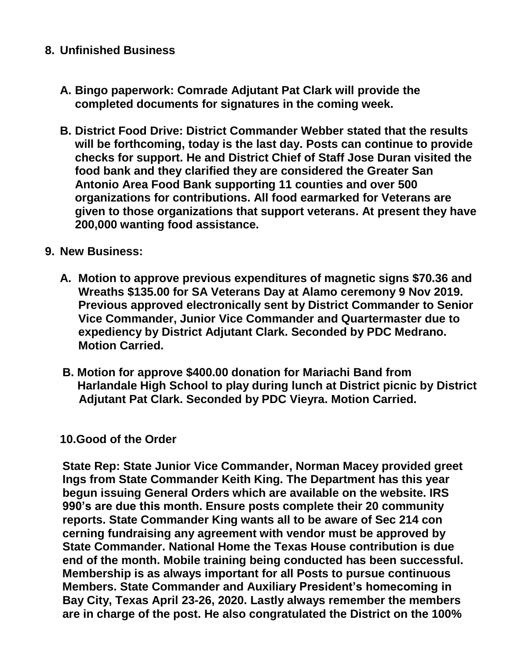## **8. Unfinished Business**

- **A. Bingo paperwork: Comrade Adjutant Pat Clark will provide the completed documents for signatures in the coming week.**
- **B. District Food Drive: District Commander Webber stated that the results will be forthcoming, today is the last day. Posts can continue to provide checks for support. He and District Chief of Staff Jose Duran visited the food bank and they clarified they are considered the Greater San Antonio Area Food Bank supporting 11 counties and over 500 organizations for contributions. All food earmarked for Veterans are given to those organizations that support veterans. At present they have 200,000 wanting food assistance.**

## **9. New Business:**

- **A. Motion to approve previous expenditures of magnetic signs \$70.36 and Wreaths \$135.00 for SA Veterans Day at Alamo ceremony 9 Nov 2019. Previous approved electronically sent by District Commander to Senior Vice Commander, Junior Vice Commander and Quartermaster due to expediency by District Adjutant Clark. Seconded by PDC Medrano. Motion Carried.**
- **B. Motion for approve \$400.00 donation for Mariachi Band from Harlandale High School to play during lunch at District picnic by District Adjutant Pat Clark. Seconded by PDC Vieyra. Motion Carried.**

# **10.Good of the Order**

 **State Rep: State Junior Vice Commander, Norman Macey provided greet Ings from State Commander Keith King. The Department has this year begun issuing General Orders which are available on the website. IRS 990's are due this month. Ensure posts complete their 20 community reports. State Commander King wants all to be aware of Sec 214 con cerning fundraising any agreement with vendor must be approved by State Commander. National Home the Texas House contribution is due end of the month. Mobile training being conducted has been successful. Membership is as always important for all Posts to pursue continuous Members. State Commander and Auxiliary President's homecoming in Bay City, Texas April 23-26, 2020. Lastly always remember the members are in charge of the post. He also congratulated the District on the 100%**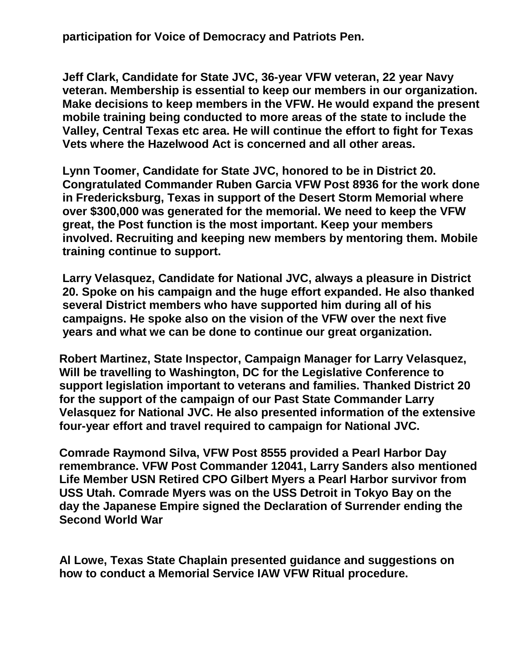**participation for Voice of Democracy and Patriots Pen.** 

 **Jeff Clark, Candidate for State JVC, 36-year VFW veteran, 22 year Navy veteran. Membership is essential to keep our members in our organization. Make decisions to keep members in the VFW. He would expand the present mobile training being conducted to more areas of the state to include the Valley, Central Texas etc area. He will continue the effort to fight for Texas Vets where the Hazelwood Act is concerned and all other areas.**

 **Lynn Toomer, Candidate for State JVC, honored to be in District 20. Congratulated Commander Ruben Garcia VFW Post 8936 for the work done in Fredericksburg, Texas in support of the Desert Storm Memorial where over \$300,000 was generated for the memorial. We need to keep the VFW great, the Post function is the most important. Keep your members involved. Recruiting and keeping new members by mentoring them. Mobile training continue to support.**

 **Larry Velasquez, Candidate for National JVC, always a pleasure in District 20. Spoke on his campaign and the huge effort expanded. He also thanked several District members who have supported him during all of his campaigns. He spoke also on the vision of the VFW over the next five years and what we can be done to continue our great organization.**

 **Robert Martinez, State Inspector, Campaign Manager for Larry Velasquez, Will be travelling to Washington, DC for the Legislative Conference to support legislation important to veterans and families. Thanked District 20 for the support of the campaign of our Past State Commander Larry Velasquez for National JVC. He also presented information of the extensive four-year effort and travel required to campaign for National JVC.**

 **Comrade Raymond Silva, VFW Post 8555 provided a Pearl Harbor Day remembrance. VFW Post Commander 12041, Larry Sanders also mentioned Life Member USN Retired CPO Gilbert Myers a Pearl Harbor survivor from USS Utah. Comrade Myers was on the USS Detroit in Tokyo Bay on the day the Japanese Empire signed the Declaration of Surrender ending the Second World War**

 **Al Lowe, Texas State Chaplain presented guidance and suggestions on how to conduct a Memorial Service IAW VFW Ritual procedure.**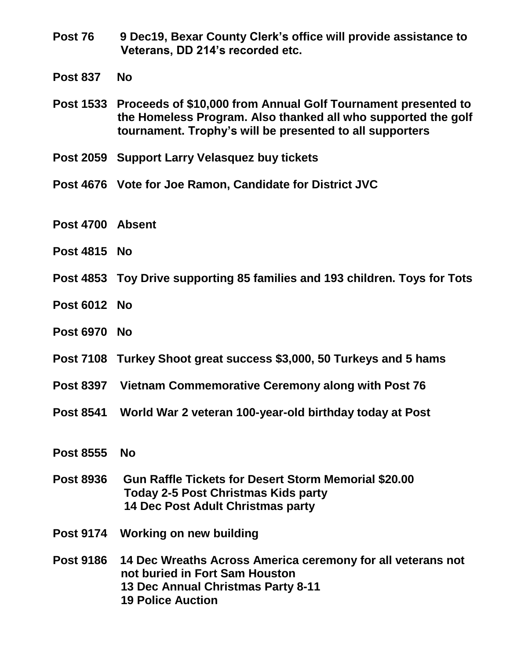- **Post 76 9 Dec19, Bexar County Clerk's office will provide assistance to Veterans, DD 214's recorded etc.**
- **Post 837 No**
- **Post 1533 Proceeds of \$10,000 from Annual Golf Tournament presented to the Homeless Program. Also thanked all who supported the golf tournament. Trophy's will be presented to all supporters**
- **Post 2059 Support Larry Velasquez buy tickets**
- **Post 4676 Vote for Joe Ramon, Candidate for District JVC**
- **Post 4700 Absent**
- **Post 4815 No**
- **Post 4853 Toy Drive supporting 85 families and 193 children. Toys for Tots**
- **Post 6012 No**
- **Post 6970 No**
- **Post 7108 Turkey Shoot great success \$3,000, 50 Turkeys and 5 hams**
- **Post 8397 Vietnam Commemorative Ceremony along with Post 76**
- **Post 8541 World War 2 veteran 100-year-old birthday today at Post**
- **Post 8555 No**
- **Post 8936 Gun Raffle Tickets for Desert Storm Memorial \$20.00 Today 2-5 Post Christmas Kids party 14 Dec Post Adult Christmas party**
- **Post 9174 Working on new building**
- **Post 9186 14 Dec Wreaths Across America ceremony for all veterans not not buried in Fort Sam Houston 13 Dec Annual Christmas Party 8-11 19 Police Auction**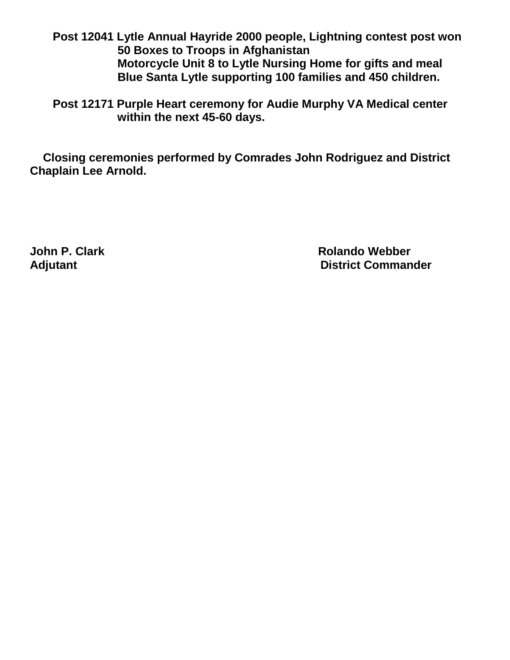**Post 12041 Lytle Annual Hayride 2000 people, Lightning contest post won 50 Boxes to Troops in Afghanistan Motorcycle Unit 8 to Lytle Nursing Home for gifts and meal Blue Santa Lytle supporting 100 families and 450 children.**

 **Post 12171 Purple Heart ceremony for Audie Murphy VA Medical center within the next 45-60 days.**

 **Closing ceremonies performed by Comrades John Rodriguez and District Chaplain Lee Arnold.** 

**John P. Clark Construction Construction Construction Construction Construction Construction Construction Construction Construction Construction Construction Construction Construction Construction Construction Construction** Adjutant **Adjutant District Commander**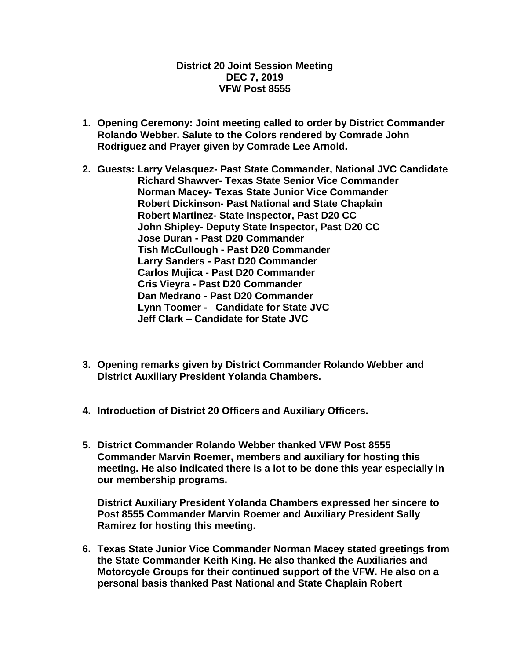#### **District 20 Joint Session Meeting DEC 7, 2019 VFW Post 8555**

- **1. Opening Ceremony: Joint meeting called to order by District Commander Rolando Webber. Salute to the Colors rendered by Comrade John Rodriguez and Prayer given by Comrade Lee Arnold.**
- **2. Guests: Larry Velasquez- Past State Commander, National JVC Candidate Richard Shawver- Texas State Senior Vice Commander Norman Macey- Texas State Junior Vice Commander Robert Dickinson- Past National and State Chaplain Robert Martinez- State Inspector, Past D20 CC John Shipley- Deputy State Inspector, Past D20 CC Jose Duran - Past D20 Commander Tish McCullough - Past D20 Commander Larry Sanders - Past D20 Commander Carlos Mujica - Past D20 Commander Cris Vieyra - Past D20 Commander Dan Medrano - Past D20 Commander Lynn Toomer - Candidate for State JVC Jeff Clark – Candidate for State JVC**
- **3. Opening remarks given by District Commander Rolando Webber and District Auxiliary President Yolanda Chambers.**
- **4. Introduction of District 20 Officers and Auxiliary Officers.**
- **5. District Commander Rolando Webber thanked VFW Post 8555 Commander Marvin Roemer, members and auxiliary for hosting this meeting. He also indicated there is a lot to be done this year especially in our membership programs.**

**District Auxiliary President Yolanda Chambers expressed her sincere to Post 8555 Commander Marvin Roemer and Auxiliary President Sally Ramirez for hosting this meeting.**

**6. Texas State Junior Vice Commander Norman Macey stated greetings from the State Commander Keith King. He also thanked the Auxiliaries and Motorcycle Groups for their continued support of the VFW. He also on a personal basis thanked Past National and State Chaplain Robert**